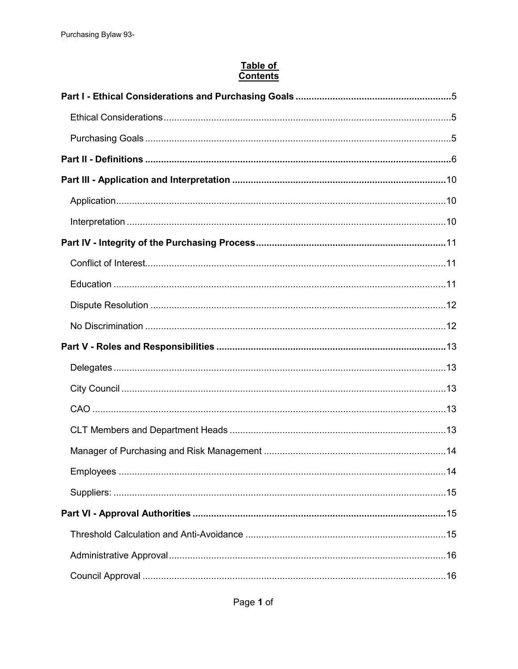# Table of<br>Contents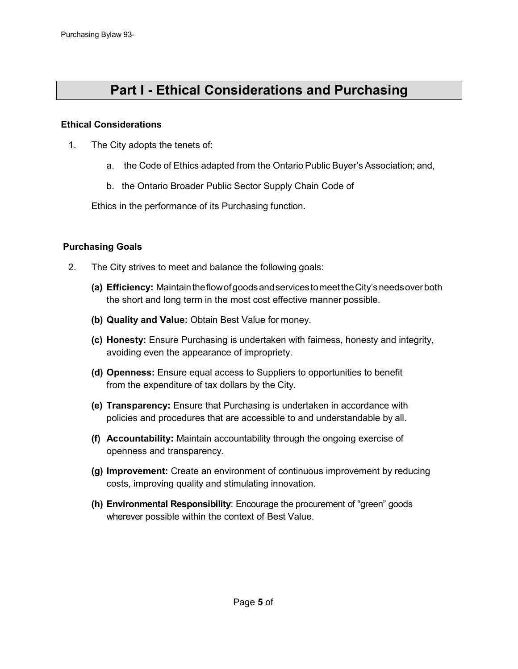# **Part I - Ethical Considerations and Purchasing**

**Goals**

### <span id="page-4-1"></span><span id="page-4-0"></span>**Ethical Considerations**

- 1. The City adopts the tenets of:
	- a. the Code of Ethics adapted from the Ontario Public Buyer's Association; and,
	- b. the Ontario Broader Public Sector Supply Chain Code of

Ethics in the performance of its Purchasing function.

### <span id="page-4-2"></span>**Purchasing Goals**

- 2. The City strives to meet and balance the following goals:
	- **(a) Efficiency:** MaintaintheflowofgoodsandservicestomeettheCity'sneedsoverboth the short and long term in the most cost effective manner possible.
	- **(b) Quality and Value:** Obtain Best Value for money.
	- **(c) Honesty:** Ensure Purchasing is undertaken with fairness, honesty and integrity, avoiding even the appearance of impropriety.
	- **(d) Openness:** Ensure equal access to Suppliers to opportunities to benefit from the expenditure of tax dollars by the City.
	- **(e) Transparency:** Ensure that Purchasing is undertaken in accordance with policies and procedures that are accessible to and understandable by all.
	- **(f) Accountability:** Maintain accountability through the ongoing exercise of openness and transparency.
	- **(g) Improvement:** Create an environment of continuous improvement by reducing costs, improving quality and stimulating innovation.
	- **(h) Environmental Responsibility**: Encourage the procurement of "green" goods wherever possible within the context of Best Value.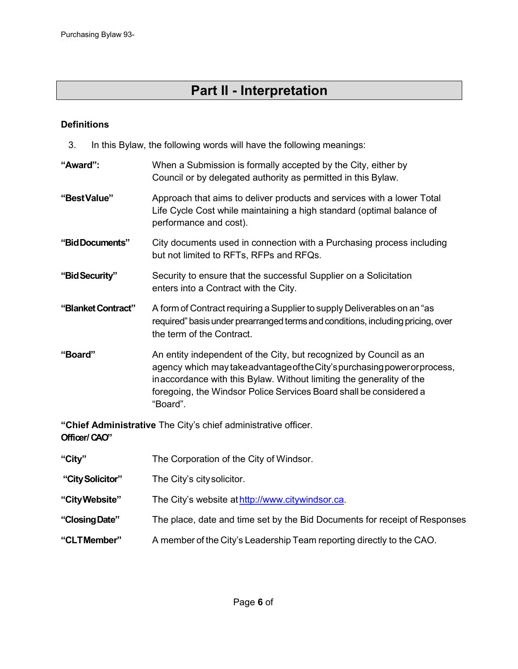# **Part II - Interpretation**

### <span id="page-5-0"></span>**Definitions**

3. In this Bylaw, the following words will have the following meanings:

| "Award":           | When a Submission is formally accepted by the City, either by<br>Council or by delegated authority as permitted in this Bylaw.                                                                                                                                                                             |
|--------------------|------------------------------------------------------------------------------------------------------------------------------------------------------------------------------------------------------------------------------------------------------------------------------------------------------------|
| "BestValue"        | Approach that aims to deliver products and services with a lower Total<br>Life Cycle Cost while maintaining a high standard (optimal balance of<br>performance and cost).                                                                                                                                  |
| "Bid Documents"    | City documents used in connection with a Purchasing process including<br>but not limited to RFTs, RFPs and RFQs.                                                                                                                                                                                           |
| "Bid Security"     | Security to ensure that the successful Supplier on a Solicitation<br>enters into a Contract with the City.                                                                                                                                                                                                 |
| "Blanket Contract" | A form of Contract requiring a Supplier to supply Deliverables on an "as<br>required" basis under prearranged terms and conditions, including pricing, over<br>the term of the Contract.                                                                                                                   |
| "Board"            | An entity independent of the City, but recognized by Council as an<br>agency which may take advantage of the City's purchasing power or process,<br>inaccordance with this Bylaw. Without limiting the generality of the<br>foregoing, the Windsor Police Services Board shall be considered a<br>"Board". |
| Officer/CAO"       | "Chief Administrative The City's chief administrative officer.                                                                                                                                                                                                                                             |
| "City"             | The Corporation of the City of Windsor.                                                                                                                                                                                                                                                                    |
| "City Solicitor"   | The City's city solicitor.                                                                                                                                                                                                                                                                                 |
| "City Website"     | The City's website at http://www.citywindsor.ca.                                                                                                                                                                                                                                                           |
| "Closing Date"     | The place, date and time set by the Bid Documents for receipt of Responses                                                                                                                                                                                                                                 |

**"CLTMember"** A member of the City's Leadership Team reporting directly to the CAO.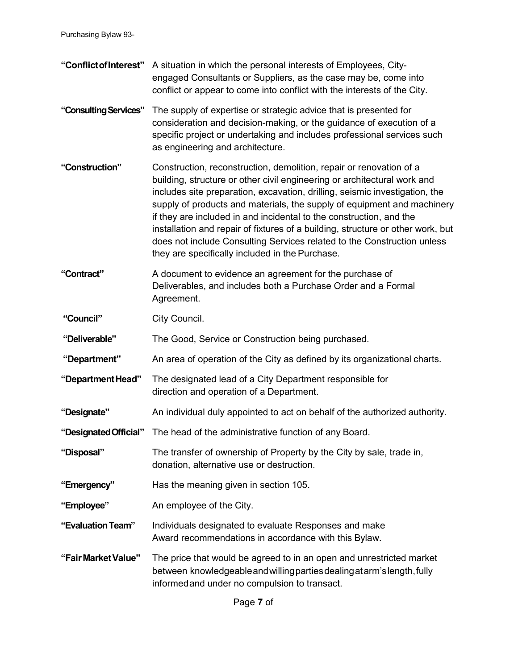- **"ConflictofInterest"** A situation in which the personal interests of Employees, Cityengaged Consultants or Suppliers, as the case may be, come into conflict or appear to come into conflict with the interests of the City. **"ConsultingServices"** The supply of expertise or strategic advice that is presented for consideration and decision-making, or the guidance of execution of a specific project or undertaking and includes professional services such as engineering and architecture. **"Construction"** Construction, reconstruction, demolition, repair or renovation of a building, structure or other civil engineering or architectural work and includes site preparation, excavation, drilling, seismic investigation, the supply of products and materials, the supply of equipment and machinery if they are included in and incidental to the construction, and the installation and repair of fixtures of a building, structure or other work, but does not include Consulting Services related to the Construction unless they are specifically included in the Purchase. **"Contract"** A document to evidence an agreement for the purchase of Deliverables, and includes both a Purchase Order and a Formal Agreement. "Council" City Council. **"Deliverable"** The Good, Service or Construction being purchased. **"Department"** An area of operation of the City as defined by its organizational charts. **"DepartmentHead"** The designated lead of a City Department responsible for direction and operation of a Department. **"Designate"** An individual duly appointed to act on behalf of the authorized authority. **"DesignatedOfficial"** The head of the administrative function of any Board. **"Disposal"** The transfer of ownership of Property by the City by sale, trade in, donation, alternative use or destruction. **"Emergency"** Has the meaning given in section 105. **"Employee"** An employee of the City. **"EvaluationTeam"** Individuals designated to evaluate Responses and make Award recommendations in accordance with this Bylaw.
- **"FairMarketValue"** The price that would be agreed to in an open and unrestricted market between knowledgeableandwillingpartiesdealingatarm'slength,fully informedand under no compulsion to transact.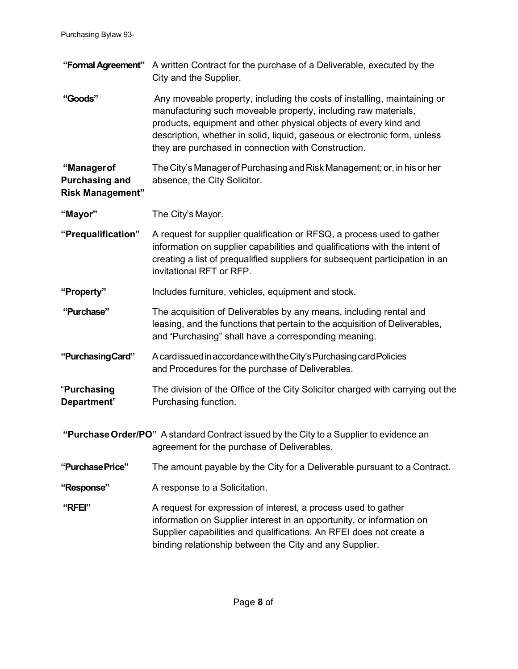|                                                                 | "Formal Agreement" A written Contract for the purchase of a Deliverable, executed by the<br>City and the Supplier.                                                                                                                                                                                                                                 |
|-----------------------------------------------------------------|----------------------------------------------------------------------------------------------------------------------------------------------------------------------------------------------------------------------------------------------------------------------------------------------------------------------------------------------------|
| "Goods"                                                         | Any moveable property, including the costs of installing, maintaining or<br>manufacturing such moveable property, including raw materials,<br>products, equipment and other physical objects of every kind and<br>description, whether in solid, liquid, gaseous or electronic form, unless<br>they are purchased in connection with Construction. |
| "Manager of<br><b>Purchasing and</b><br><b>Risk Management"</b> | The City's Manager of Purchasing and Risk Management; or, in his or her<br>absence, the City Solicitor.                                                                                                                                                                                                                                            |
| "Mayor"                                                         | The City's Mayor.                                                                                                                                                                                                                                                                                                                                  |
| "Prequalification"                                              | A request for supplier qualification or RFSQ, a process used to gather<br>information on supplier capabilities and qualifications with the intent of<br>creating a list of prequalified suppliers for subsequent participation in an<br>invitational RFT or RFP.                                                                                   |
| "Property"                                                      | Includes furniture, vehicles, equipment and stock.                                                                                                                                                                                                                                                                                                 |
| "Purchase"                                                      | The acquisition of Deliverables by any means, including rental and<br>leasing, and the functions that pertain to the acquisition of Deliverables,<br>and "Purchasing" shall have a corresponding meaning.                                                                                                                                          |
| "Purchasing Card"                                               | A card issued in accordance with the City's Purchasing card Policies<br>and Procedures for the purchase of Deliverables.                                                                                                                                                                                                                           |
| "Purchasing<br>Department"                                      | The division of the Office of the City Solicitor charged with carrying out the<br>Purchasing function.                                                                                                                                                                                                                                             |
|                                                                 | "Purchase Order/PO" A standard Contract issued by the City to a Supplier to evidence an<br>agreement for the purchase of Deliverables.                                                                                                                                                                                                             |
| "Purchase Price"                                                | The amount payable by the City for a Deliverable pursuant to a Contract.                                                                                                                                                                                                                                                                           |
| "Response"                                                      | A response to a Solicitation.                                                                                                                                                                                                                                                                                                                      |
| "RFEI"                                                          | A request for expression of interest, a process used to gather<br>information on Supplier interest in an opportunity, or information on<br>Supplier capabilities and qualifications. An RFEI does not create a<br>binding relationship between the City and any Supplier.                                                                          |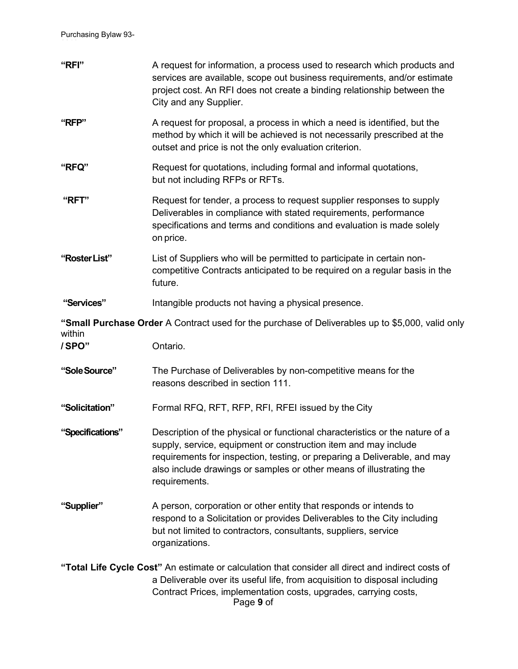Purchasing Bylaw 93-

| "RFI"            | A request for information, a process used to research which products and<br>services are available, scope out business requirements, and/or estimate<br>project cost. An RFI does not create a binding relationship between the<br>City and any Supplier.                                                            |
|------------------|----------------------------------------------------------------------------------------------------------------------------------------------------------------------------------------------------------------------------------------------------------------------------------------------------------------------|
| "RFP"            | A request for proposal, a process in which a need is identified, but the<br>method by which it will be achieved is not necessarily prescribed at the<br>outset and price is not the only evaluation criterion.                                                                                                       |
| "RFQ"            | Request for quotations, including formal and informal quotations,<br>but not including RFPs or RFTs.                                                                                                                                                                                                                 |
| "RFT"            | Request for tender, a process to request supplier responses to supply<br>Deliverables in compliance with stated requirements, performance<br>specifications and terms and conditions and evaluation is made solely<br>on price.                                                                                      |
| "Roster List"    | List of Suppliers who will be permitted to participate in certain non-<br>competitive Contracts anticipated to be required on a regular basis in the<br>future.                                                                                                                                                      |
| "Services"       | Intangible products not having a physical presence.                                                                                                                                                                                                                                                                  |
| within           | "Small Purchase Order A Contract used for the purchase of Deliverables up to \$5,000, valid only                                                                                                                                                                                                                     |
| /SPO"            | Ontario.                                                                                                                                                                                                                                                                                                             |
| "Sole Source"    | The Purchase of Deliverables by non-competitive means for the<br>reasons described in section 111.                                                                                                                                                                                                                   |
| "Solicitation"   | Formal RFQ, RFT, RFP, RFI, RFEI issued by the City                                                                                                                                                                                                                                                                   |
| "Specifications" | Description of the physical or functional characteristics or the nature of a<br>supply, service, equipment or construction item and may include<br>requirements for inspection, testing, or preparing a Deliverable, and may<br>also include drawings or samples or other means of illustrating the<br>requirements. |
| "Supplier"       | A person, corporation or other entity that responds or intends to<br>respond to a Solicitation or provides Deliverables to the City including<br>but not limited to contractors, consultants, suppliers, service<br>organizations.                                                                                   |
|                  | "Total Life Cycle Cost" An estimate or calculation that consider all direct and indirect costs of                                                                                                                                                                                                                    |
|                  | a Deliverable over its useful life, from acquisition to disposal including<br>Contract Prices, implementation costs, upgrades, carrying costs,<br>Page 9 of                                                                                                                                                          |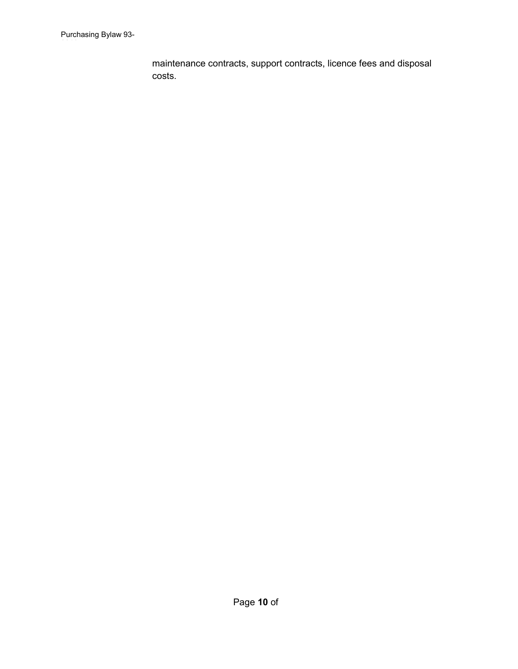maintenance contracts, support contracts, licence fees and disposal costs.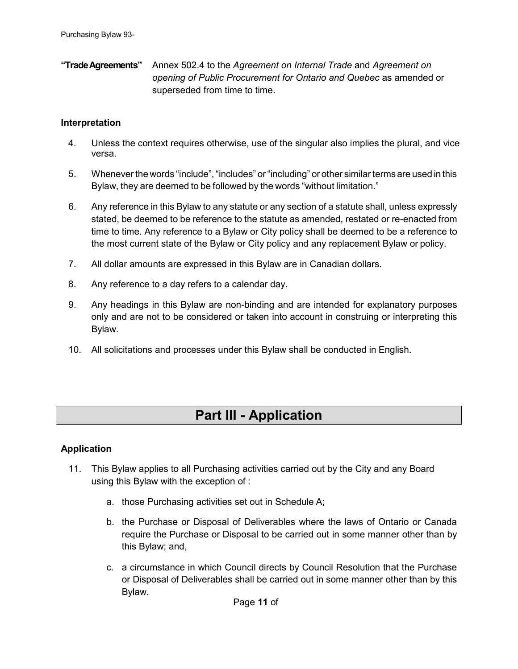**"TradeAgreements"** Annex 502.4 to the *Agreement on Internal Trade* and *Agreement on opening of Public Procurement for Ontario and Quebec* as amended or superseded from time to time.

### <span id="page-10-2"></span>**Interpretation**

- 4. Unless the context requires otherwise, use of the singular also implies the plural, and vice versa.
- 5. Whenever the words "include","includes" or"including" or other similar terms are used in this Bylaw, they are deemed to be followed by the words "without limitation."
- 6. Any reference in this Bylaw to any statute or any section of a statute shall, unless expressly stated, be deemed to be reference to the statute as amended, restated or re-enacted from time to time. Any reference to a Bylaw or City policy shall be deemed to be a reference to the most current state of the Bylaw or City policy and any replacement Bylaw or policy.
- 7. All dollar amounts are expressed in this Bylaw are in Canadian dollars.
- 8. Any reference to a day refers to a calendar day.
- 9. Any headings in this Bylaw are non-binding and are intended for explanatory purposes only and are not to be considered or taken into account in construing or interpreting this Bylaw.
- 10. All solicitations and processes under this Bylaw shall be conducted in English.

### **Part III - Application**

### <span id="page-10-1"></span><span id="page-10-0"></span>**Application**

- 11. This Bylaw applies to all Purchasing activities carried out by the City and any Board using this Bylaw with the exception of :
	- a. those Purchasing activities set out in Schedule A;
	- b. the Purchase or Disposal of Deliverables where the laws of Ontario or Canada require the Purchase or Disposal to be carried out in some manner other than by this Bylaw; and,
	- c. a circumstance in which Council directs by Council Resolution that the Purchase or Disposal of Deliverables shall be carried out in some manner other than by this Bylaw.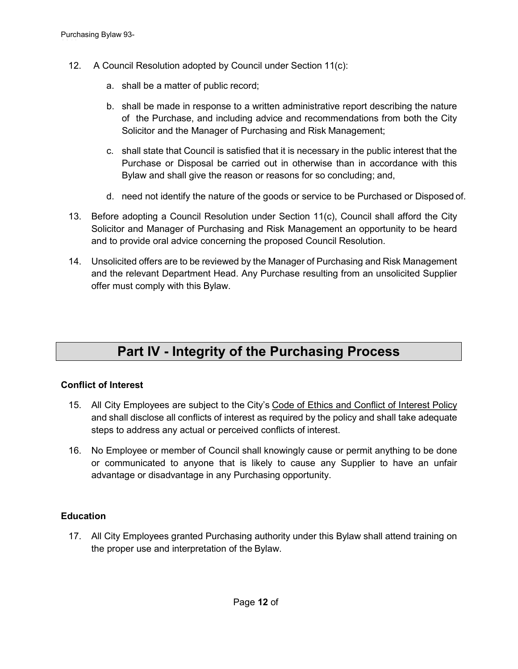- 12. A Council Resolution adopted by Council under Section 11(c):
	- a. shall be a matter of public record;
	- b. shall be made in response to a written administrative report describing the nature of the Purchase, and including advice and recommendations from both the City Solicitor and the Manager of Purchasing and Risk Management;
	- c. shall state that Council is satisfied that it is necessary in the public interest that the Purchase or Disposal be carried out in otherwise than in accordance with this Bylaw and shall give the reason or reasons for so concluding; and,
	- d. need not identify the nature of the goods or service to be Purchased or Disposed of.
- 13. Before adopting a Council Resolution under Section 11(c), Council shall afford the City Solicitor and Manager of Purchasing and Risk Management an opportunity to be heard and to provide oral advice concerning the proposed Council Resolution.
- 14. Unsolicited offers are to be reviewed by the Manager of Purchasing and Risk Management and the relevant Department Head. Any Purchase resulting from an unsolicited Supplier offer must comply with this Bylaw.

# **Part IV - Integrity of the Purchasing Process**

### <span id="page-11-1"></span><span id="page-11-0"></span>**Conflict of Interest**

- 15. All City Employees are subject to the City's Code of Ethics and Conflict of Interest Policy and shall disclose all conflicts of interest as required by the policy and shall take adequate steps to address any actual or perceived conflicts of interest.
- 16. No Employee or member of Council shall knowingly cause or permit anything to be done or communicated to anyone that is likely to cause any Supplier to have an unfair advantage or disadvantage in any Purchasing opportunity.

### <span id="page-11-2"></span>**Education**

17. All City Employees granted Purchasing authority under this Bylaw shall attend training on the proper use and interpretation of the Bylaw.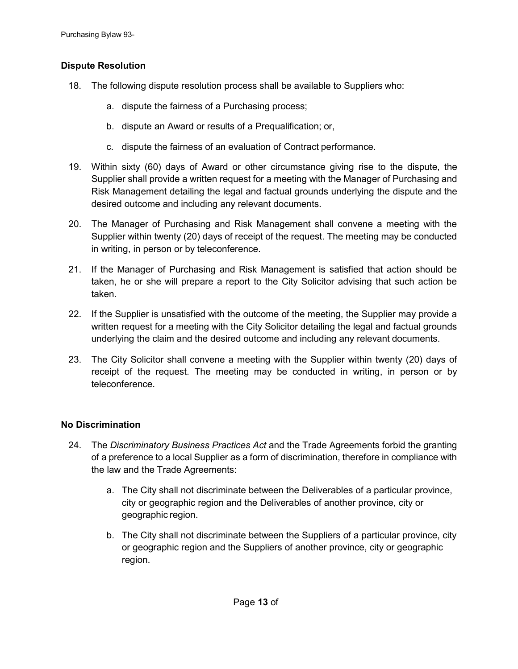### <span id="page-12-0"></span>**Dispute Resolution**

- 18. The following dispute resolution process shall be available to Suppliers who:
	- a. dispute the fairness of a Purchasing process;
	- b. dispute an Award or results of a Prequalification; or,
	- c. dispute the fairness of an evaluation of Contract performance.
- 19. Within sixty (60) days of Award or other circumstance giving rise to the dispute, the Supplier shall provide a written request for a meeting with the Manager of Purchasing and Risk Management detailing the legal and factual grounds underlying the dispute and the desired outcome and including any relevant documents.
- 20. The Manager of Purchasing and Risk Management shall convene a meeting with the Supplier within twenty (20) days of receipt of the request. The meeting may be conducted in writing, in person or by teleconference.
- 21. If the Manager of Purchasing and Risk Management is satisfied that action should be taken, he or she will prepare a report to the City Solicitor advising that such action be taken.
- 22. If the Supplier is unsatisfied with the outcome of the meeting, the Supplier may provide a written request for a meeting with the City Solicitor detailing the legal and factual grounds underlying the claim and the desired outcome and including any relevant documents.
- 23. The City Solicitor shall convene a meeting with the Supplier within twenty (20) days of receipt of the request. The meeting may be conducted in writing, in person or by teleconference.

### <span id="page-12-1"></span>**No Discrimination**

- 24. The *Discriminatory Business Practices Act* and the Trade Agreements forbid the granting of a preference to a local Supplier as a form of discrimination, therefore in compliance with the law and the Trade Agreements:
	- a. The City shall not discriminate between the Deliverables of a particular province, city or geographic region and the Deliverables of another province, city or geographic region.
	- b. The City shall not discriminate between the Suppliers of a particular province, city or geographic region and the Suppliers of another province, city or geographic region.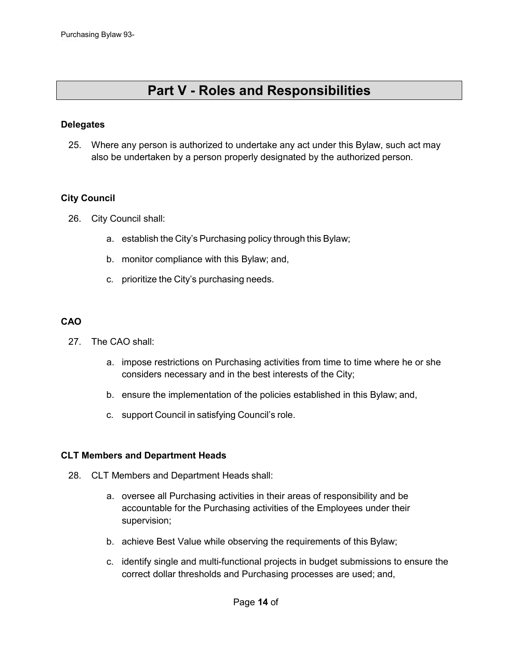### **Part V - Roles and Responsibilities**

### <span id="page-13-1"></span><span id="page-13-0"></span>**Delegates**

25. Where any person is authorized to undertake any act under this Bylaw, such act may also be undertaken by a person properly designated by the authorized person.

### <span id="page-13-2"></span>**City Council**

- 26. City Council shall:
	- a. establish the City's Purchasing policy through this Bylaw;
	- b. monitor compliance with this Bylaw; and,
	- c. prioritize the City's purchasing needs.

### <span id="page-13-3"></span>**CAO**

- 27. The CAO shall:
	- a. impose restrictions on Purchasing activities from time to time where he or she considers necessary and in the best interests of the City;
	- b. ensure the implementation of the policies established in this Bylaw; and,
	- c. support Council in satisfying Council's role.

### <span id="page-13-4"></span>**CLT Members and Department Heads**

- 28. CLT Members and Department Heads shall:
	- a. oversee all Purchasing activities in their areas of responsibility and be accountable for the Purchasing activities of the Employees under their supervision;
	- b. achieve Best Value while observing the requirements of this Bylaw;
	- c. identify single and multi-functional projects in budget submissions to ensure the correct dollar thresholds and Purchasing processes are used; and,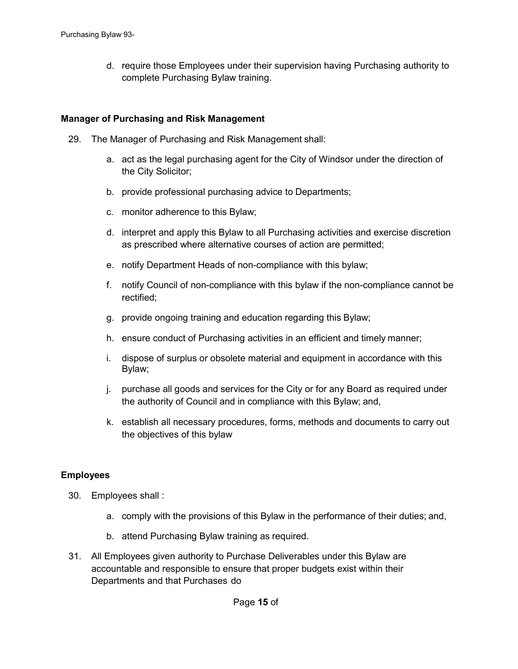d. require those Employees under their supervision having Purchasing authority to complete Purchasing Bylaw training.

#### <span id="page-14-0"></span>**Manager of Purchasing and Risk Management**

- 29. The Manager of Purchasing and Risk Management shall:
	- a. act as the legal purchasing agent for the City of Windsor under the direction of the City Solicitor;
	- b. provide professional purchasing advice to Departments;
	- c. monitor adherence to this Bylaw;
	- d. interpret and apply this Bylaw to all Purchasing activities and exercise discretion as prescribed where alternative courses of action are permitted;
	- e. notify Department Heads of non-compliance with this bylaw;
	- f. notify Council of non-compliance with this bylaw if the non-compliance cannot be rectified;
	- g. provide ongoing training and education regarding this Bylaw;
	- h. ensure conduct of Purchasing activities in an efficient and timely manner;
	- i. dispose of surplus or obsolete material and equipment in accordance with this Bylaw;
	- j. purchase all goods and services for the City or for any Board as required under the authority of Council and in compliance with this Bylaw; and,
	- k. establish all necessary procedures, forms, methods and documents to carry out the objectives of this bylaw

### <span id="page-14-1"></span>**Employees**

- 30. Employees shall :
	- a. comply with the provisions of this Bylaw in the performance of their duties; and,
	- b. attend Purchasing Bylaw training as required.
- 31. All Employees given authority to Purchase Deliverables under this Bylaw are accountable and responsible to ensure that proper budgets exist within their Departments and that Purchases do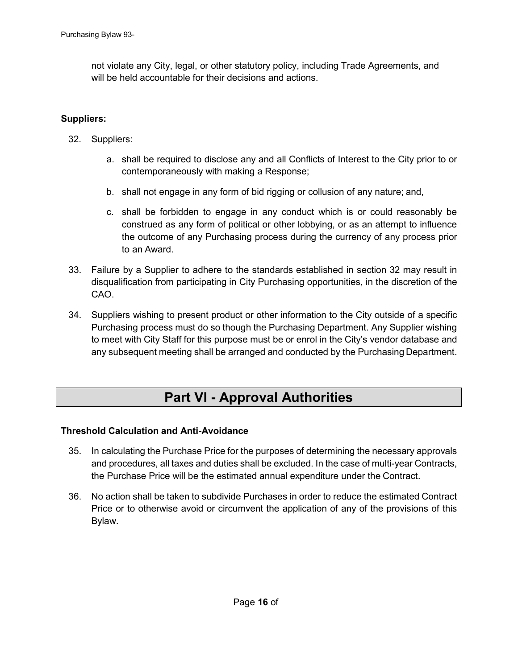not violate any City, legal, or other statutory policy, including Trade Agreements, and will be held accountable for their decisions and actions.

### <span id="page-15-0"></span>**Suppliers:**

- 32. Suppliers:
	- a. shall be required to disclose any and all Conflicts of Interest to the City prior to or contemporaneously with making a Response;
	- b. shall not engage in any form of bid rigging or collusion of any nature; and,
	- c. shall be forbidden to engage in any conduct which is or could reasonably be construed as any form of political or other lobbying, or as an attempt to influence the outcome of any Purchasing process during the currency of any process prior to an Award.
- 33. Failure by a Supplier to adhere to the standards established in section 32 may result in disqualification from participating in City Purchasing opportunities, in the discretion of the CAO.
- 34. Suppliers wishing to present product or other information to the City outside of a specific Purchasing process must do so though the Purchasing Department. Any Supplier wishing to meet with City Staff for this purpose must be or enrol in the City's vendor database and any subsequent meeting shall be arranged and conducted by the Purchasing Department.

# **Part VI - Approval Authorities**

### <span id="page-15-2"></span><span id="page-15-1"></span>**Threshold Calculation and Anti-Avoidance**

- 35. In calculating the Purchase Price for the purposes of determining the necessary approvals and procedures, all taxes and duties shall be excluded. In the case of multi-year Contracts, the Purchase Price will be the estimated annual expenditure under the Contract.
- 36. No action shall be taken to subdivide Purchases in order to reduce the estimated Contract Price or to otherwise avoid or circumvent the application of any of the provisions of this Bylaw.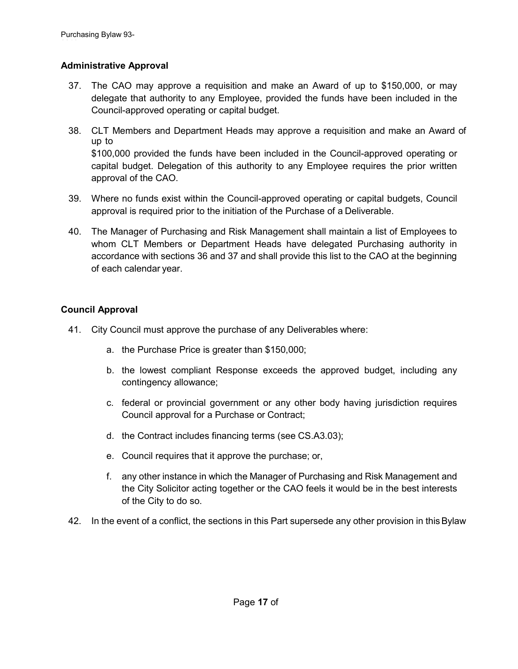### <span id="page-16-0"></span>**Administrative Approval**

- 37. The CAO may approve a requisition and make an Award of up to \$150,000, or may delegate that authority to any Employee, provided the funds have been included in the Council-approved operating or capital budget.
- 38. CLT Members and Department Heads may approve a requisition and make an Award of up to \$100,000 provided the funds have been included in the Council-approved operating or capital budget. Delegation of this authority to any Employee requires the prior written approval of the CAO.
- 39. Where no funds exist within the Council-approved operating or capital budgets, Council approval is required prior to the initiation of the Purchase of a Deliverable.
- 40. The Manager of Purchasing and Risk Management shall maintain a list of Employees to whom CLT Members or Department Heads have delegated Purchasing authority in accordance with sections 36 and 37 and shall provide this list to the CAO at the beginning of each calendar year.

### <span id="page-16-1"></span>**Council Approval**

- 41. City Council must approve the purchase of any Deliverables where:
	- a. the Purchase Price is greater than \$150,000;
	- b. the lowest compliant Response exceeds the approved budget, including any contingency allowance;
	- c. federal or provincial government or any other body having jurisdiction requires Council approval for a Purchase or Contract;
	- d. the Contract includes financing terms (see CS.A3.03);
	- e. Council requires that it approve the purchase; or,
	- f. any other instance in which the Manager of Purchasing and Risk Management and the City Solicitor acting together or the CAO feels it would be in the best interests of the City to do so.
- 42. In the event of a conflict, the sections in this Part supersede any other provision in thisBylaw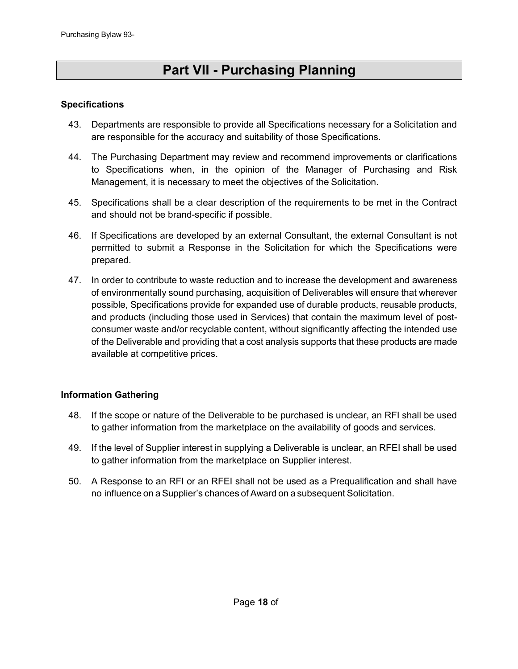# **Part VII - Purchasing Planning**

### <span id="page-17-1"></span><span id="page-17-0"></span>**Specifications**

- 43. Departments are responsible to provide all Specifications necessary for a Solicitation and are responsible for the accuracy and suitability of those Specifications.
- 44. The Purchasing Department may review and recommend improvements or clarifications to Specifications when, in the opinion of the Manager of Purchasing and Risk Management, it is necessary to meet the objectives of the Solicitation.
- 45. Specifications shall be a clear description of the requirements to be met in the Contract and should not be brand-specific if possible.
- 46. If Specifications are developed by an external Consultant, the external Consultant is not permitted to submit a Response in the Solicitation for which the Specifications were prepared.
- 47. In order to contribute to waste reduction and to increase the development and awareness of environmentally sound purchasing, acquisition of Deliverables will ensure that wherever possible, Specifications provide for expanded use of durable products, reusable products, and products (including those used in Services) that contain the maximum level of postconsumer waste and/or recyclable content, without significantly affecting the intended use of the Deliverable and providing that a cost analysis supports that these products are made available at competitive prices.

### <span id="page-17-2"></span>**Information Gathering**

- 48. If the scope or nature of the Deliverable to be purchased is unclear, an RFI shall be used to gather information from the marketplace on the availability of goods and services.
- 49. If the level of Supplier interest in supplying a Deliverable is unclear, an RFEI shall be used to gather information from the marketplace on Supplier interest.
- 50. A Response to an RFI or an RFEI shall not be used as a Prequalification and shall have no influence on a Supplier's chances of Award on a subsequent Solicitation.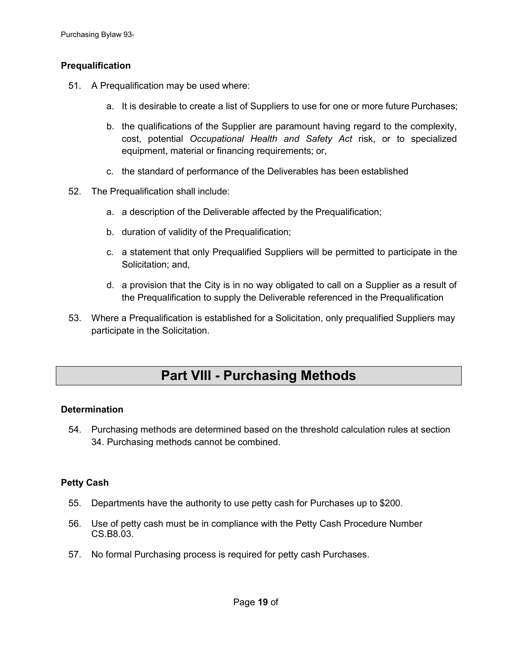### <span id="page-18-0"></span>**Prequalification**

- 51. A Prequalification may be used where:
	- a. It is desirable to create a list of Suppliers to use for one or more future Purchases;
	- b. the qualifications of the Supplier are paramount having regard to the complexity, cost, potential *Occupational Health and Safety Act* risk, or to specialized equipment, material or financing requirements; or,
	- c. the standard of performance of the Deliverables has been established
- 52. The Prequalification shall include:
	- a. a description of the Deliverable affected by the Prequalification;
	- b. duration of validity of the Prequalification;
	- c. a statement that only Prequalified Suppliers will be permitted to participate in the Solicitation; and,
	- d. a provision that the City is in no way obligated to call on a Supplier as a result of the Prequalification to supply the Deliverable referenced in the Prequalification
- 53. Where a Prequalification is established for a Solicitation, only prequalified Suppliers may participate in the Solicitation.

### **Part VIII - Purchasing Methods**

### <span id="page-18-2"></span><span id="page-18-1"></span>**Determination**

54. Purchasing methods are determined based on the threshold calculation rules at section 34. Purchasing methods cannot be combined.

### <span id="page-18-3"></span>**Petty Cash**

- 55. Departments have the authority to use petty cash for Purchases up to \$200.
- 56. Use of petty cash must be in compliance with the Petty Cash Procedure Number CS.B8.03.
- 57. No formal Purchasing process is required for petty cash Purchases.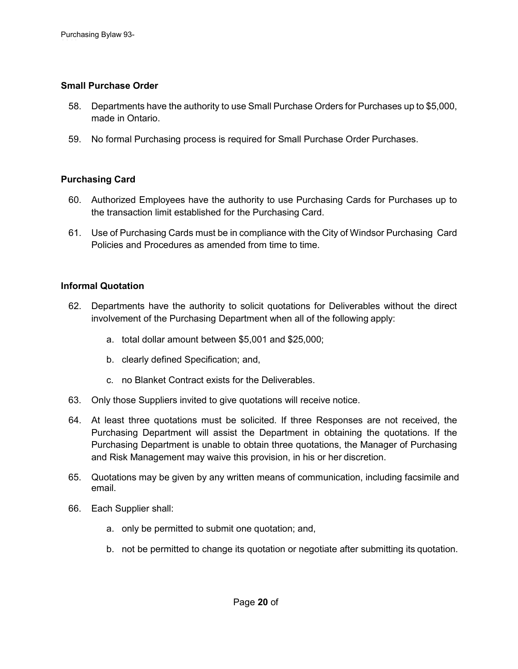### <span id="page-19-0"></span>**Small Purchase Order**

- 58. Departments have the authority to use Small Purchase Orders for Purchases up to \$5,000, made in Ontario.
- 59. No formal Purchasing process is required for Small Purchase Order Purchases.

### <span id="page-19-1"></span>**Purchasing Card**

- 60. Authorized Employees have the authority to use Purchasing Cards for Purchases up to the transaction limit established for the Purchasing Card.
- 61. Use of Purchasing Cards must be in compliance with the City of Windsor Purchasing Card Policies and Procedures as amended from time to time.

### <span id="page-19-2"></span>**Informal Quotation**

- 62. Departments have the authority to solicit quotations for Deliverables without the direct involvement of the Purchasing Department when all of the following apply:
	- a. total dollar amount between \$5,001 and \$25,000;
	- b. clearly defined Specification; and,
	- c. no Blanket Contract exists for the Deliverables.
- 63. Only those Suppliers invited to give quotations will receive notice.
- 64. At least three quotations must be solicited. If three Responses are not received, the Purchasing Department will assist the Department in obtaining the quotations. If the Purchasing Department is unable to obtain three quotations, the Manager of Purchasing and Risk Management may waive this provision, in his or her discretion.
- 65. Quotations may be given by any written means of communication, including facsimile and email.
- 66. Each Supplier shall:
	- a. only be permitted to submit one quotation; and,
	- b. not be permitted to change its quotation or negotiate after submitting its quotation.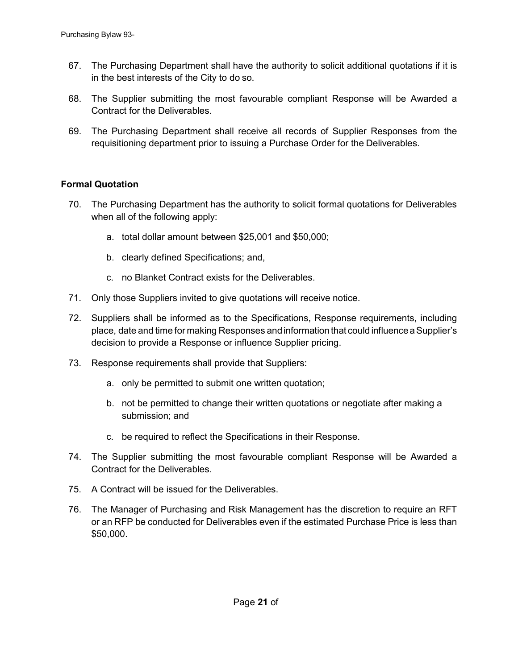- 67. The Purchasing Department shall have the authority to solicit additional quotations if it is in the best interests of the City to do so.
- 68. The Supplier submitting the most favourable compliant Response will be Awarded a Contract for the Deliverables.
- 69. The Purchasing Department shall receive all records of Supplier Responses from the requisitioning department prior to issuing a Purchase Order for the Deliverables.

### <span id="page-20-0"></span>**Formal Quotation**

- 70. The Purchasing Department has the authority to solicit formal quotations for Deliverables when all of the following apply:
	- a. total dollar amount between \$25,001 and \$50,000;
	- b. clearly defined Specifications; and,
	- c. no Blanket Contract exists for the Deliverables.
- 71. Only those Suppliers invited to give quotations will receive notice.
- 72. Suppliers shall be informed as to the Specifications, Response requirements, including place, date and time for making Responses andinformation that could influence aSupplier's decision to provide a Response or influence Supplier pricing.
- 73. Response requirements shall provide that Suppliers:
	- a. only be permitted to submit one written quotation;
	- b. not be permitted to change their written quotations or negotiate after making a submission; and
	- c. be required to reflect the Specifications in their Response.
- 74. The Supplier submitting the most favourable compliant Response will be Awarded a Contract for the Deliverables.
- 75. A Contract will be issued for the Deliverables.
- 76. The Manager of Purchasing and Risk Management has the discretion to require an RFT or an RFP be conducted for Deliverables even if the estimated Purchase Price is less than \$50,000.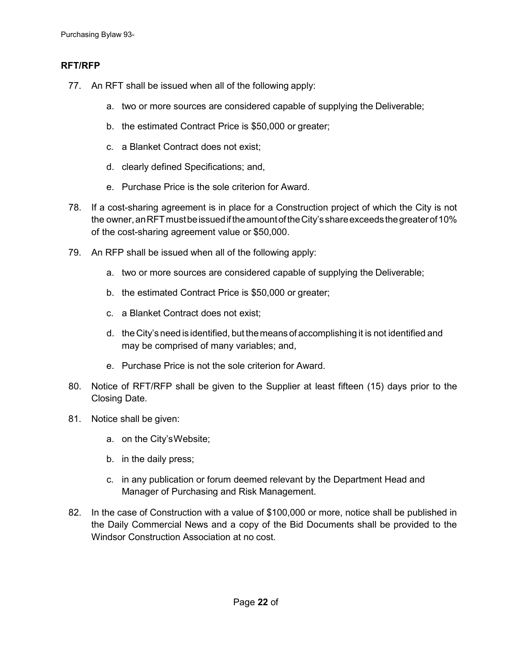### <span id="page-21-0"></span>**RFT/RFP**

- 77. An RFT shall be issued when all of the following apply:
	- a. two or more sources are considered capable of supplying the Deliverable;
	- b. the estimated Contract Price is \$50,000 or greater;
	- c. a Blanket Contract does not exist;
	- d. clearly defined Specifications; and,
	- e. Purchase Price is the sole criterion for Award.
- 78. If a cost-sharing agreement is in place for a Construction project of which the City is not the owner, an RFT must be issued if the amount of the City's share exceeds the greater of 10% of the cost-sharing agreement value or \$50,000.
- 79. An RFP shall be issued when all of the following apply:
	- a. two or more sources are considered capable of supplying the Deliverable;
	- b. the estimated Contract Price is \$50,000 or greater;
	- c. a Blanket Contract does not exist;
	- d. the City's need is identified, but themeans of accomplishing it is not identified and may be comprised of many variables; and,
	- e. Purchase Price is not the sole criterion for Award.
- 80. Notice of RFT/RFP shall be given to the Supplier at least fifteen (15) days prior to the Closing Date.
- 81. Notice shall be given:
	- a. on the City'sWebsite;
	- b. in the daily press;
	- c. in any publication or forum deemed relevant by the Department Head and Manager of Purchasing and Risk Management.
- 82. In the case of Construction with a value of \$100,000 or more, notice shall be published in the Daily Commercial News and a copy of the Bid Documents shall be provided to the Windsor Construction Association at no cost.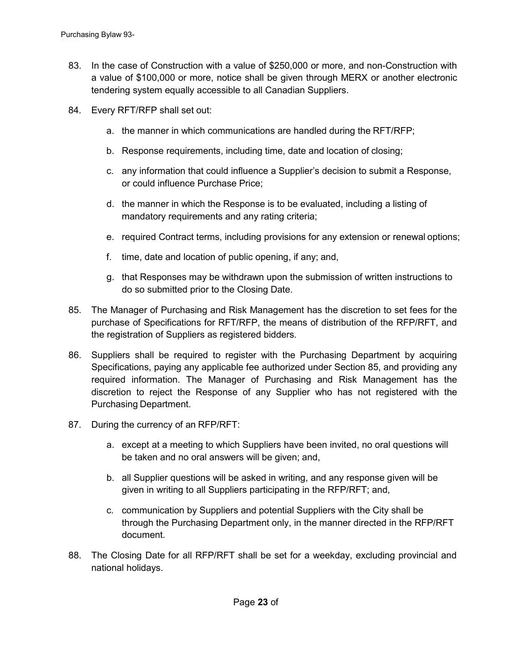- 83. In the case of Construction with a value of \$250,000 or more, and non-Construction with a value of \$100,000 or more, notice shall be given through MERX or another electronic tendering system equally accessible to all Canadian Suppliers.
- 84. Every RFT/RFP shall set out:
	- a. the manner in which communications are handled during the RFT/RFP;
	- b. Response requirements, including time, date and location of closing;
	- c. any information that could influence a Supplier's decision to submit a Response, or could influence Purchase Price;
	- d. the manner in which the Response is to be evaluated, including a listing of mandatory requirements and any rating criteria;
	- e. required Contract terms, including provisions for any extension or renewal options;
	- f. time, date and location of public opening, if any; and,
	- g. that Responses may be withdrawn upon the submission of written instructions to do so submitted prior to the Closing Date.
- 85. The Manager of Purchasing and Risk Management has the discretion to set fees for the purchase of Specifications for RFT/RFP, the means of distribution of the RFP/RFT, and the registration of Suppliers as registered bidders.
- 86. Suppliers shall be required to register with the Purchasing Department by acquiring Specifications, paying any applicable fee authorized under Section 85, and providing any required information. The Manager of Purchasing and Risk Management has the discretion to reject the Response of any Supplier who has not registered with the Purchasing Department.
- 87. During the currency of an RFP/RFT:
	- a. except at a meeting to which Suppliers have been invited, no oral questions will be taken and no oral answers will be given; and,
	- b. all Supplier questions will be asked in writing, and any response given will be given in writing to all Suppliers participating in the RFP/RFT; and,
	- c. communication by Suppliers and potential Suppliers with the City shall be through the Purchasing Department only, in the manner directed in the RFP/RFT document.
- 88. The Closing Date for all RFP/RFT shall be set for a weekday, excluding provincial and national holidays.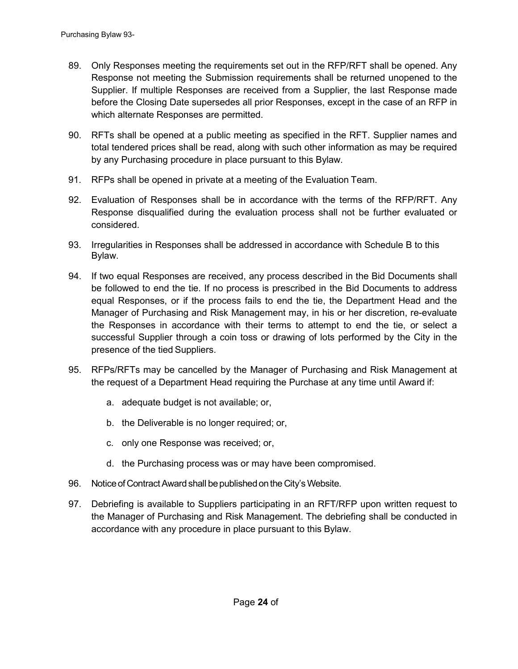- <span id="page-23-0"></span>89. Only Responses meeting the requirements set out in the RFP/RFT shall be opened. Any Response not meeting the Submission requirements shall be returned unopened to the Supplier. If multiple Responses are received from a Supplier, the last Response made before the Closing Date supersedes all prior Responses, except in the case of an RFP in which alternate Responses are permitted.
- 90. RFTs shall be opened at a public meeting as specified in the RFT. Supplier names and total tendered prices shall be read, along with such other information as may be required by any Purchasing procedure in place pursuant to this Bylaw.
- 91. RFPs shall be opened in private at a meeting of the Evaluation Team.
- 92. Evaluation of Responses shall be in accordance with the terms of the RFP/RFT. Any Response disqualified during the evaluation process shall not be further evaluated or considered.
- 93. Irregularities in Responses shall be addressed in accordance with Schedule B to this Bylaw.
- 94. If two equal Responses are received, any process described in the Bid Documents shall be followed to end the tie. If no process is prescribed in the Bid Documents to address equal Responses, or if the process fails to end the tie, the Department Head and the Manager of Purchasing and Risk Management may, in his or her discretion, re-evaluate the Responses in accordance with their terms to attempt to end the tie, or select a successful Supplier through a coin toss or drawing of lots performed by the City in the presence of the tied Suppliers.
- 95. RFPs/RFTs may be cancelled by the Manager of Purchasing and Risk Management at the request of a Department Head requiring the Purchase at any time until Award if:
	- a. adequate budget is not available; or,
	- b. the Deliverable is no longer required; or,
	- c. only one Response was received; or,
	- d. the Purchasing process was or may have been compromised.
- 96. Notice of Contract Award shall be published on the City's Website.
- 97. Debriefing is available to Suppliers participating in an RFT/RFP upon written request to the Manager of Purchasing and Risk Management. The debriefing shall be conducted in accordance with any procedure in place pursuant to this Bylaw.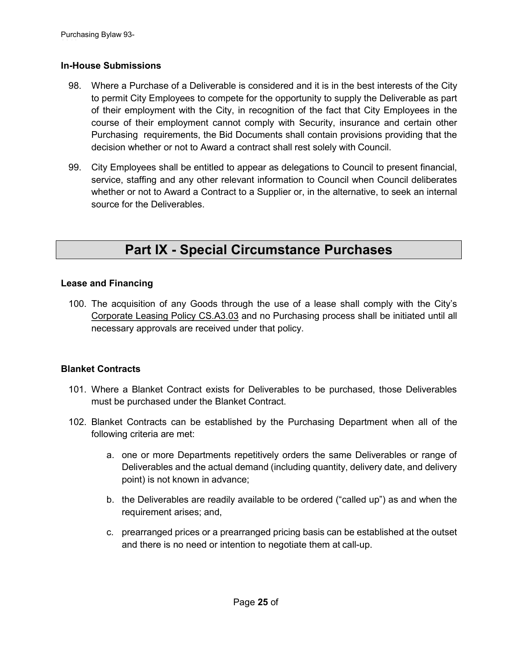### **In-House Submissions**

- 98. Where a Purchase of a Deliverable is considered and it is in the best interests of the City to permit City Employees to compete for the opportunity to supply the Deliverable as part of their employment with the City, in recognition of the fact that City Employees in the course of their employment cannot comply with Security, insurance and certain other Purchasing requirements, the Bid Documents shall contain provisions providing that the decision whether or not to Award a contract shall rest solely with Council.
- 99. City Employees shall be entitled to appear as delegations to Council to present financial, service, staffing and any other relevant information to Council when Council deliberates whether or not to Award a Contract to a Supplier or, in the alternative, to seek an internal source for the Deliverables.

# **Part IX - Special Circumstance Purchases**

### <span id="page-24-1"></span><span id="page-24-0"></span>**Lease and Financing**

100. The acquisition of any Goods through the use of a lease shall comply with the City's Corporate Leasing Policy CS.A3.03 and no Purchasing process shall be initiated until all necessary approvals are received under that policy.

### <span id="page-24-2"></span>**Blanket Contracts**

- 101. Where a Blanket Contract exists for Deliverables to be purchased, those Deliverables must be purchased under the Blanket Contract.
- 102. Blanket Contracts can be established by the Purchasing Department when all of the following criteria are met:
	- a. one or more Departments repetitively orders the same Deliverables or range of Deliverables and the actual demand (including quantity, delivery date, and delivery point) is not known in advance;
	- b. the Deliverables are readily available to be ordered ("called up") as and when the requirement arises; and,
	- c. prearranged prices or a prearranged pricing basis can be established at the outset and there is no need or intention to negotiate them at call-up.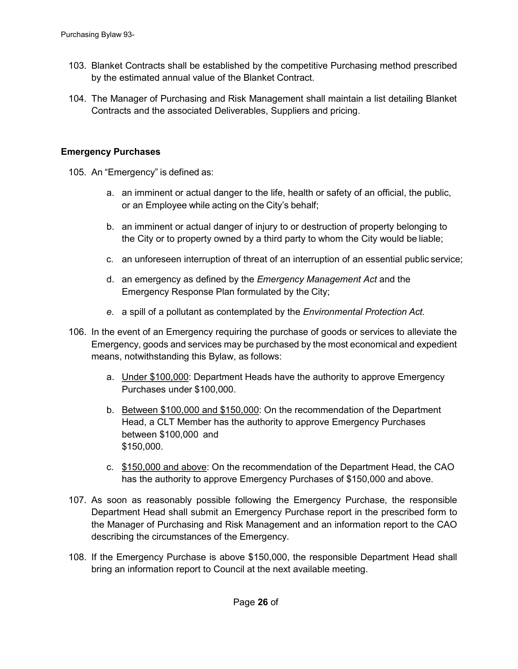- 103. Blanket Contracts shall be established by the competitive Purchasing method prescribed by the estimated annual value of the Blanket Contract.
- 104. The Manager of Purchasing and Risk Management shall maintain a list detailing Blanket Contracts and the associated Deliverables, Suppliers and pricing.

### <span id="page-25-0"></span>**Emergency Purchases**

- 105. An "Emergency" is defined as:
	- a. an imminent or actual danger to the life, health or safety of an official, the public, or an Employee while acting on the City's behalf;
	- b. an imminent or actual danger of injury to or destruction of property belonging to the City or to property owned by a third party to whom the City would be liable;
	- c. an unforeseen interruption of threat of an interruption of an essential public service;
	- d. an emergency as defined by the *Emergency Management Act* and the Emergency Response Plan formulated by the City;
	- *e.* a spill of a pollutant as contemplated by the *Environmental Protection Act.*
- 106. In the event of an Emergency requiring the purchase of goods or services to alleviate the Emergency, goods and services may be purchased by the most economical and expedient means, notwithstanding this Bylaw, as follows:
	- a. Under \$100,000: Department Heads have the authority to approve Emergency Purchases under \$100,000.
	- b. Between \$100,000 and \$150,000: On the recommendation of the Department Head, a CLT Member has the authority to approve Emergency Purchases between \$100,000 and \$150,000.
	- c. \$150,000 and above: On the recommendation of the Department Head, the CAO has the authority to approve Emergency Purchases of \$150,000 and above.
- 107. As soon as reasonably possible following the Emergency Purchase, the responsible Department Head shall submit an Emergency Purchase report in the prescribed form to the Manager of Purchasing and Risk Management and an information report to the CAO describing the circumstances of the Emergency.
- 108. If the Emergency Purchase is above \$150,000, the responsible Department Head shall bring an information report to Council at the next available meeting.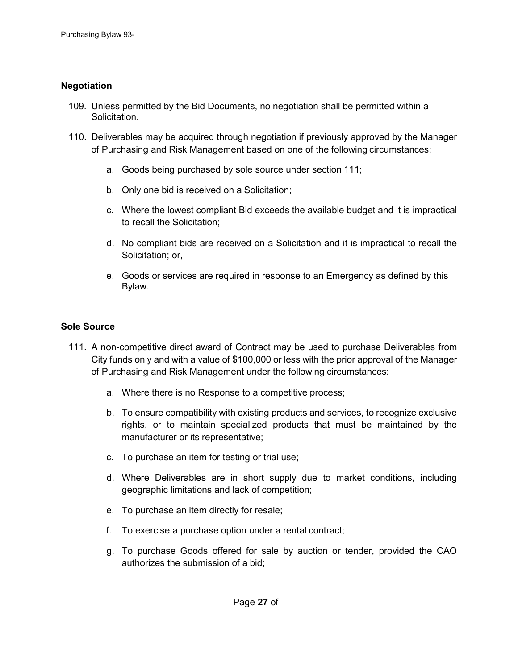### <span id="page-26-0"></span>**Negotiation**

- 109. Unless permitted by the Bid Documents, no negotiation shall be permitted within a Solicitation.
- 110. Deliverables may be acquired through negotiation if previously approved by the Manager of Purchasing and Risk Management based on one of the following circumstances:
	- a. Goods being purchased by sole source under section 111;
	- b. Only one bid is received on a Solicitation;
	- c. Where the lowest compliant Bid exceeds the available budget and it is impractical to recall the Solicitation;
	- d. No compliant bids are received on a Solicitation and it is impractical to recall the Solicitation; or,
	- e. Goods or services are required in response to an Emergency as defined by this Bylaw.

### <span id="page-26-1"></span>**Sole Source**

- 111. A non-competitive direct award of Contract may be used to purchase Deliverables from City funds only and with a value of \$100,000 or less with the prior approval of the Manager of Purchasing and Risk Management under the following circumstances:
	- a. Where there is no Response to a competitive process;
	- b. To ensure compatibility with existing products and services, to recognize exclusive rights, or to maintain specialized products that must be maintained by the manufacturer or its representative;
	- c. To purchase an item for testing or trial use;
	- d. Where Deliverables are in short supply due to market conditions, including geographic limitations and lack of competition;
	- e. To purchase an item directly for resale;
	- f. To exercise a purchase option under a rental contract;
	- g. To purchase Goods offered for sale by auction or tender, provided the CAO authorizes the submission of a bid;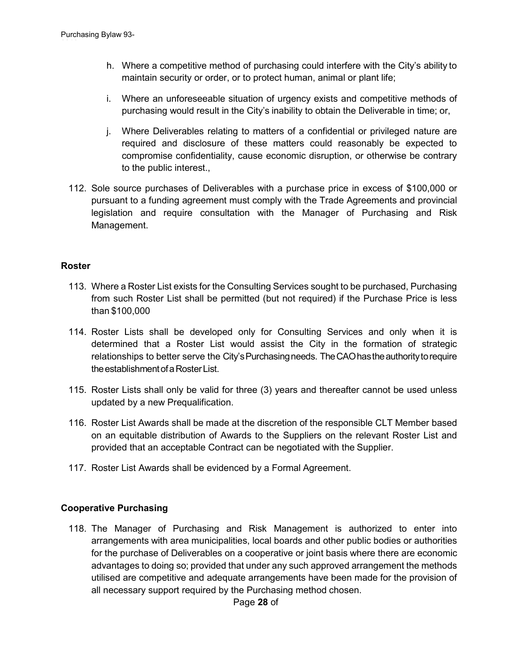- h. Where a competitive method of purchasing could interfere with the City's ability to maintain security or order, or to protect human, animal or plant life;
- i. Where an unforeseeable situation of urgency exists and competitive methods of purchasing would result in the City's inability to obtain the Deliverable in time; or,
- j. Where Deliverables relating to matters of a confidential or privileged nature are required and disclosure of these matters could reasonably be expected to compromise confidentiality, cause economic disruption, or otherwise be contrary to the public interest.,
- 112. Sole source purchases of Deliverables with a purchase price in excess of \$100,000 or pursuant to a funding agreement must comply with the Trade Agreements and provincial legislation and require consultation with the Manager of Purchasing and Risk Management.

#### <span id="page-27-0"></span>**Roster**

- 113. Where a Roster List exists for the Consulting Services sought to be purchased, Purchasing from such Roster List shall be permitted (but not required) if the Purchase Price is less than \$100,000
- 114. Roster Lists shall be developed only for Consulting Services and only when it is determined that a Roster List would assist the City in the formation of strategic relationships to better serve the City's Purchasing needs. The CAO has the authority to require the establishment of a Roster List.
- 115. Roster Lists shall only be valid for three (3) years and thereafter cannot be used unless updated by a new Prequalification.
- 116. Roster List Awards shall be made at the discretion of the responsible CLT Member based on an equitable distribution of Awards to the Suppliers on the relevant Roster List and provided that an acceptable Contract can be negotiated with the Supplier.
- 117. Roster List Awards shall be evidenced by a Formal Agreement.

### <span id="page-27-1"></span>**Cooperative Purchasing**

118. The Manager of Purchasing and Risk Management is authorized to enter into arrangements with area municipalities, local boards and other public bodies or authorities for the purchase of Deliverables on a cooperative or joint basis where there are economic advantages to doing so; provided that under any such approved arrangement the methods utilised are competitive and adequate arrangements have been made for the provision of all necessary support required by the Purchasing method chosen.

Page **28** of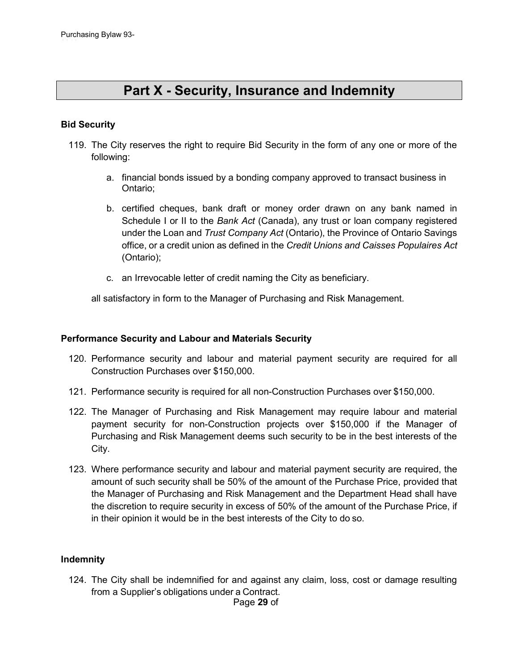### **Part X - Security, Insurance and Indemnity**

### <span id="page-28-1"></span><span id="page-28-0"></span>**Bid Security**

- 119. The City reserves the right to require Bid Security in the form of any one or more of the following:
	- a. financial bonds issued by a bonding company approved to transact business in Ontario;
	- b. certified cheques, bank draft or money order drawn on any bank named in Schedule I or II to the *Bank Act* (Canada), any trust or loan company registered under the Loan and *Trust Company Act* (Ontario), the Province of Ontario Savings office, or a credit union as defined in the *Credit Unions and Caisses Populaires Act* (Ontario);
	- c. an Irrevocable letter of credit naming the City as beneficiary.

all satisfactory in form to the Manager of Purchasing and Risk Management.

#### <span id="page-28-2"></span>**Performance Security and Labour and Materials Security**

- 120. Performance security and labour and material payment security are required for all Construction Purchases over \$150,000.
- 121. Performance security is required for all non-Construction Purchases over \$150,000.
- 122. The Manager of Purchasing and Risk Management may require labour and material payment security for non-Construction projects over \$150,000 if the Manager of Purchasing and Risk Management deems such security to be in the best interests of the City.
- 123. Where performance security and labour and material payment security are required, the amount of such security shall be 50% of the amount of the Purchase Price, provided that the Manager of Purchasing and Risk Management and the Department Head shall have the discretion to require security in excess of 50% of the amount of the Purchase Price, if in their opinion it would be in the best interests of the City to do so.

#### <span id="page-28-3"></span>**Indemnity**

Page **29** of 124. The City shall be indemnified for and against any claim, loss, cost or damage resulting from a Supplier's obligations under a Contract.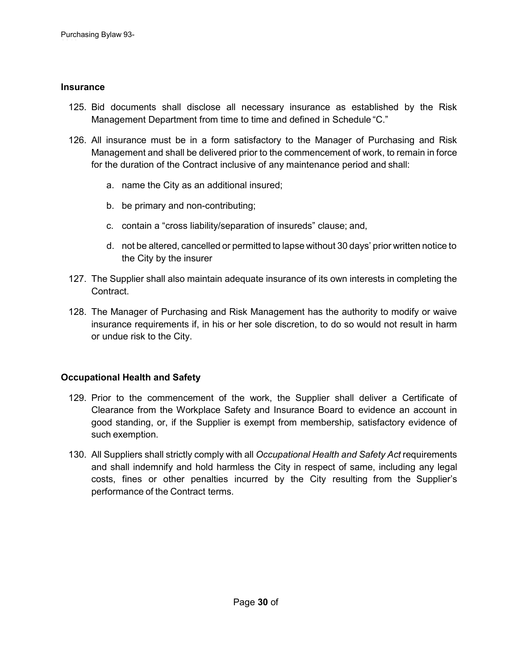### <span id="page-29-0"></span>**Insurance**

- 125. Bid documents shall disclose all necessary insurance as established by the Risk Management Department from time to time and defined in Schedule "C."
- 126. All insurance must be in a form satisfactory to the Manager of Purchasing and Risk Management and shall be delivered prior to the commencement of work, to remain in force for the duration of the Contract inclusive of any maintenance period and shall:
	- a. name the City as an additional insured;
	- b. be primary and non-contributing;
	- c. contain a "cross liability/separation of insureds" clause; and,
	- d. not be altered, cancelled or permitted to lapse without 30 days' prior written notice to the City by the insurer
- 127. The Supplier shall also maintain adequate insurance of its own interests in completing the Contract.
- 128. The Manager of Purchasing and Risk Management has the authority to modify or waive insurance requirements if, in his or her sole discretion, to do so would not result in harm or undue risk to the City.

### <span id="page-29-1"></span>**Occupational Health and Safety**

- 129. Prior to the commencement of the work, the Supplier shall deliver a Certificate of Clearance from the Workplace Safety and Insurance Board to evidence an account in good standing, or, if the Supplier is exempt from membership, satisfactory evidence of such exemption.
- 130. All Suppliers shall strictly comply with all *Occupational Health and Safety Act* requirements and shall indemnify and hold harmless the City in respect of same, including any legal costs, fines or other penalties incurred by the City resulting from the Supplier's performance of the Contract terms.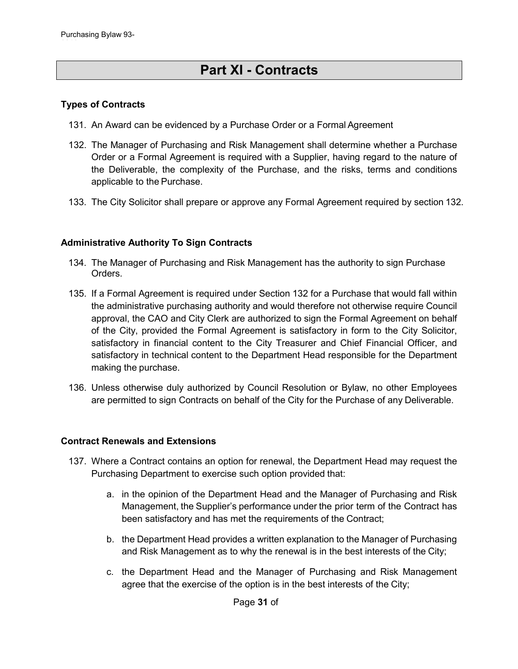# **Part XI - Contracts**

### <span id="page-30-1"></span><span id="page-30-0"></span>**Types of Contracts**

- 131. An Award can be evidenced by a Purchase Order or a Formal Agreement
- 132. The Manager of Purchasing and Risk Management shall determine whether a Purchase Order or a Formal Agreement is required with a Supplier, having regard to the nature of the Deliverable, the complexity of the Purchase, and the risks, terms and conditions applicable to the Purchase.
- 133. The City Solicitor shall prepare or approve any Formal Agreement required by section 132.

### <span id="page-30-2"></span>**Administrative Authority To Sign Contracts**

- 134. The Manager of Purchasing and Risk Management has the authority to sign Purchase Orders.
- 135. If a Formal Agreement is required under Section 132 for a Purchase that would fall within the administrative purchasing authority and would therefore not otherwise require Council approval, the CAO and City Clerk are authorized to sign the Formal Agreement on behalf of the City, provided the Formal Agreement is satisfactory in form to the City Solicitor, satisfactory in financial content to the City Treasurer and Chief Financial Officer, and satisfactory in technical content to the Department Head responsible for the Department making the purchase.
- 136. Unless otherwise duly authorized by Council Resolution or Bylaw, no other Employees are permitted to sign Contracts on behalf of the City for the Purchase of any Deliverable.

#### <span id="page-30-3"></span>**Contract Renewals and Extensions**

- 137. Where a Contract contains an option for renewal, the Department Head may request the Purchasing Department to exercise such option provided that:
	- a. in the opinion of the Department Head and the Manager of Purchasing and Risk Management, the Supplier's performance under the prior term of the Contract has been satisfactory and has met the requirements of the Contract;
	- b. the Department Head provides a written explanation to the Manager of Purchasing and Risk Management as to why the renewal is in the best interests of the City;
	- c. the Department Head and the Manager of Purchasing and Risk Management agree that the exercise of the option is in the best interests of the City;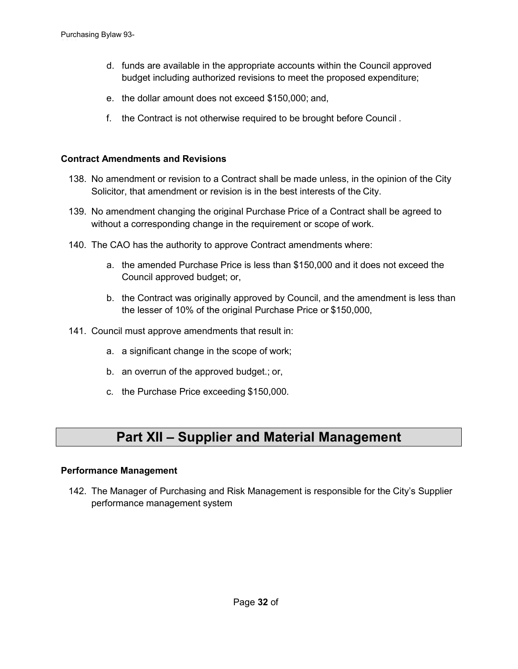- d. funds are available in the appropriate accounts within the Council approved budget including authorized revisions to meet the proposed expenditure;
- e. the dollar amount does not exceed \$150,000; and,
- f. the Contract is not otherwise required to be brought before Council .

### <span id="page-31-0"></span>**Contract Amendments and Revisions**

- 138. No amendment or revision to a Contract shall be made unless, in the opinion of the City Solicitor, that amendment or revision is in the best interests of the City.
- 139. No amendment changing the original Purchase Price of a Contract shall be agreed to without a corresponding change in the requirement or scope of work.
- 140. The CAO has the authority to approve Contract amendments where:
	- a. the amended Purchase Price is less than \$150,000 and it does not exceed the Council approved budget; or,
	- b. the Contract was originally approved by Council, and the amendment is less than the lesser of 10% of the original Purchase Price or \$150,000,
- 141. Council must approve amendments that result in:
	- a. a significant change in the scope of work;
	- b. an overrun of the approved budget.; or,
	- c. the Purchase Price exceeding \$150,000.

### **Part XII – Supplier and Material Management**

### <span id="page-31-2"></span><span id="page-31-1"></span>**Performance Management**

142. The Manager of Purchasing and Risk Management is responsible for the City's Supplier performance management system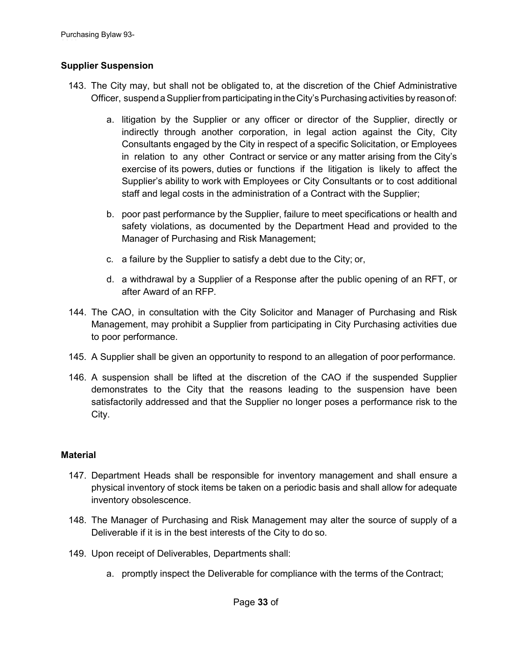### <span id="page-32-0"></span>**Supplier Suspension**

- 143. The City may, but shall not be obligated to, at the discretion of the Chief Administrative Officer, suspend aSupplierfrom participating in theCity'sPurchasing activities by reasonof:
	- a. litigation by the Supplier or any officer or director of the Supplier, directly or indirectly through another corporation, in legal action against the City, City Consultants engaged by the City in respect of a specific Solicitation, or Employees in relation to any other Contract or service or any matter arising from the City's exercise of its powers, duties or functions if the litigation is likely to affect the Supplier's ability to work with Employees or City Consultants or to cost additional staff and legal costs in the administration of a Contract with the Supplier;
	- b. poor past performance by the Supplier, failure to meet specifications or health and safety violations, as documented by the Department Head and provided to the Manager of Purchasing and Risk Management;
	- c. a failure by the Supplier to satisfy a debt due to the City; or,
	- d. a withdrawal by a Supplier of a Response after the public opening of an RFT, or after Award of an RFP.
- 144. The CAO, in consultation with the City Solicitor and Manager of Purchasing and Risk Management, may prohibit a Supplier from participating in City Purchasing activities due to poor performance.
- 145. A Supplier shall be given an opportunity to respond to an allegation of poor performance.
- 146. A suspension shall be lifted at the discretion of the CAO if the suspended Supplier demonstrates to the City that the reasons leading to the suspension have been satisfactorily addressed and that the Supplier no longer poses a performance risk to the City.

### <span id="page-32-1"></span>**Material**

- 147. Department Heads shall be responsible for inventory management and shall ensure a physical inventory of stock items be taken on a periodic basis and shall allow for adequate inventory obsolescence.
- 148. The Manager of Purchasing and Risk Management may alter the source of supply of a Deliverable if it is in the best interests of the City to do so.
- 149. Upon receipt of Deliverables, Departments shall:
	- a. promptly inspect the Deliverable for compliance with the terms of the Contract;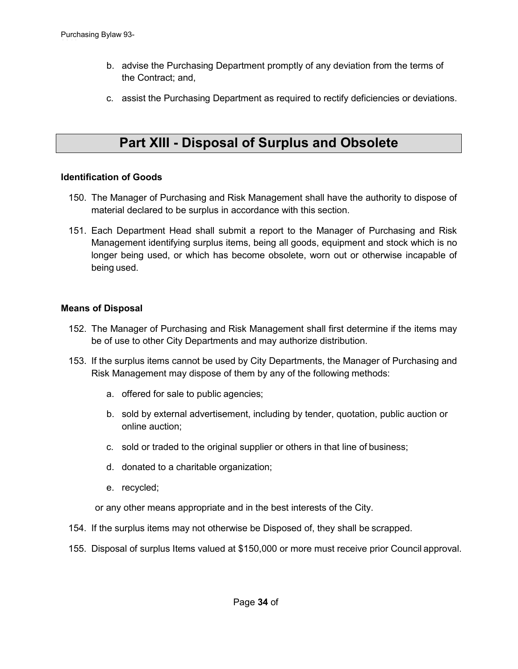- b. advise the Purchasing Department promptly of any deviation from the terms of the Contract; and,
- c. assist the Purchasing Department as required to rectify deficiencies or deviations.

### **Part XIII - Disposal of Surplus and Obsolete**

**Goods**

#### <span id="page-33-1"></span><span id="page-33-0"></span>**Identification of Goods**

- 150. The Manager of Purchasing and Risk Management shall have the authority to dispose of material declared to be surplus in accordance with this section.
- 151. Each Department Head shall submit a report to the Manager of Purchasing and Risk Management identifying surplus items, being all goods, equipment and stock which is no longer being used, or which has become obsolete, worn out or otherwise incapable of being used.

### <span id="page-33-2"></span>**Means of Disposal**

- 152. The Manager of Purchasing and Risk Management shall first determine if the items may be of use to other City Departments and may authorize distribution.
- 153. If the surplus items cannot be used by City Departments, the Manager of Purchasing and Risk Management may dispose of them by any of the following methods:
	- a. offered for sale to public agencies;
	- b. sold by external advertisement, including by tender, quotation, public auction or online auction;
	- c. sold or traded to the original supplier or others in that line of business;
	- d. donated to a charitable organization;
	- e. recycled;

or any other means appropriate and in the best interests of the City.

- 154. If the surplus items may not otherwise be Disposed of, they shall be scrapped.
- 155. Disposal of surplus Items valued at \$150,000 or more must receive prior Council approval.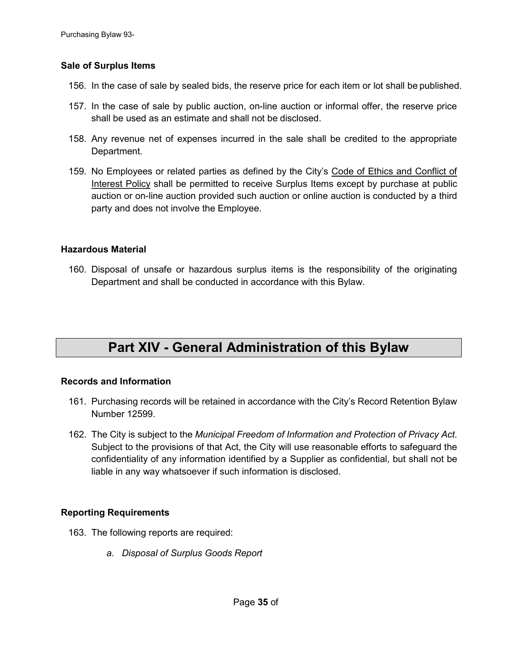### <span id="page-34-0"></span>**Sale of Surplus Items**

- 156. In the case of sale by sealed bids, the reserve price for each item or lot shall be published.
- 157. In the case of sale by public auction, on-line auction or informal offer, the reserve price shall be used as an estimate and shall not be disclosed.
- 158. Any revenue net of expenses incurred in the sale shall be credited to the appropriate Department.
- 159. No Employees or related parties as defined by the City's Code of Ethics and Conflict of Interest Policy shall be permitted to receive Surplus Items except by purchase at public auction or on-line auction provided such auction or online auction is conducted by a third party and does not involve the Employee.

### <span id="page-34-1"></span>**Hazardous Material**

160. Disposal of unsafe or hazardous surplus items is the responsibility of the originating Department and shall be conducted in accordance with this Bylaw.

# **Part XIV - General Administration of this Bylaw**

### <span id="page-34-3"></span><span id="page-34-2"></span>**Records and Information**

- 161. Purchasing records will be retained in accordance with the City's Record Retention Bylaw Number 12599.
- 162. The City is subject to the *Municipal Freedom of Information and Protection of Privacy Act*. Subject to the provisions of that Act, the City will use reasonable efforts to safeguard the confidentiality of any information identified by a Supplier as confidential, but shall not be liable in any way whatsoever if such information is disclosed.

### <span id="page-34-4"></span>**Reporting Requirements**

- 163. The following reports are required:
	- *a. Disposal of Surplus Goods Report*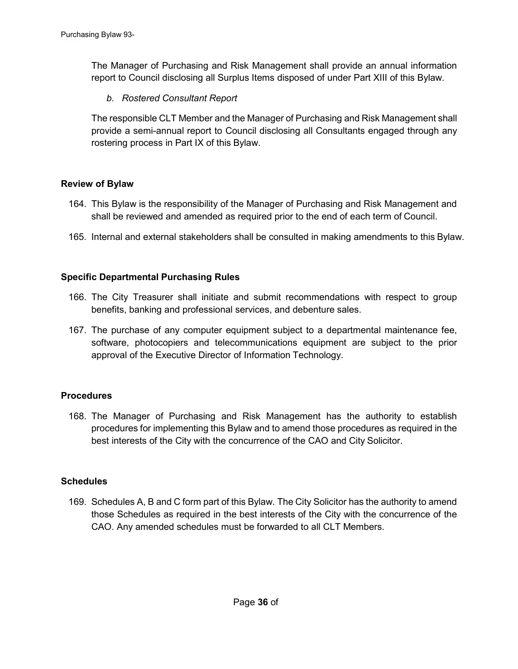The Manager of Purchasing and Risk Management shall provide an annual information report to Council disclosing all Surplus Items disposed of under Part XIII of this Bylaw.

*b. Rostered Consultant Report*

The responsible CLT Member and the Manager of Purchasing and Risk Management shall provide a semi-annual report to Council disclosing all Consultants engaged through any rostering process in Part IX of this Bylaw.

### <span id="page-35-0"></span>**Review of Bylaw**

- 164. This Bylaw is the responsibility of the Manager of Purchasing and Risk Management and shall be reviewed and amended as required prior to the end of each term of Council.
- 165. Internal and external stakeholders shall be consulted in making amendments to this Bylaw.

### <span id="page-35-1"></span>**Specific Departmental Purchasing Rules**

- 166. The City Treasurer shall initiate and submit recommendations with respect to group benefits, banking and professional services, and debenture sales.
- 167. The purchase of any computer equipment subject to a departmental maintenance fee, software, photocopiers and telecommunications equipment are subject to the prior approval of the Executive Director of Information Technology.

### <span id="page-35-2"></span>**Procedures**

168. The Manager of Purchasing and Risk Management has the authority to establish procedures for implementing this Bylaw and to amend those procedures as required in the best interests of the City with the concurrence of the CAO and City Solicitor.

### <span id="page-35-3"></span>**Schedules**

169. Schedules A, B and C form part of this Bylaw. The City Solicitor has the authority to amend those Schedules as required in the best interests of the City with the concurrence of the CAO. Any amended schedules must be forwarded to all CLT Members.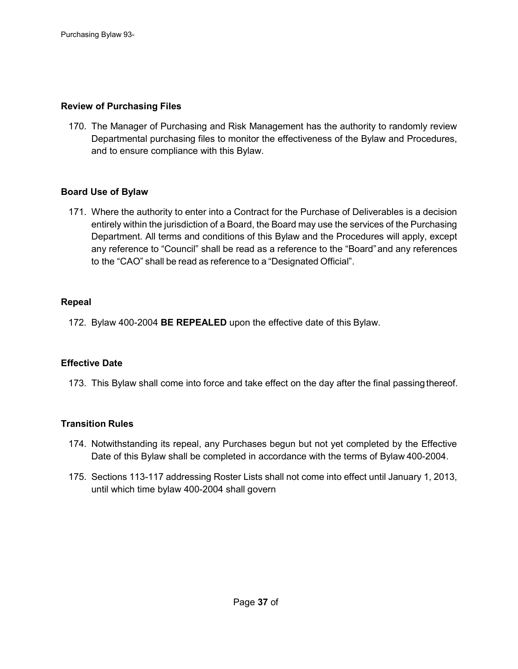### <span id="page-36-0"></span>**Review of Purchasing Files**

170. The Manager of Purchasing and Risk Management has the authority to randomly review Departmental purchasing files to monitor the effectiveness of the Bylaw and Procedures, and to ensure compliance with this Bylaw.

### <span id="page-36-1"></span>**Board Use of Bylaw**

171. Where the authority to enter into a Contract for the Purchase of Deliverables is a decision entirely within the jurisdiction of a Board, the Board may use the services of the Purchasing Department. All terms and conditions of this Bylaw and the Procedures will apply, except any reference to "Council" shall be read as a reference to the "Board"and any references to the "CAO" shall be read as reference to a "Designated Official".

### <span id="page-36-2"></span>**Repeal**

172. Bylaw 400-2004 **BE REPEALED** upon the effective date of this Bylaw.

### <span id="page-36-3"></span>**Effective Date**

173. This Bylaw shall come into force and take effect on the day after the final passing thereof.

### <span id="page-36-4"></span>**Transition Rules**

- 174. Notwithstanding its repeal, any Purchases begun but not yet completed by the Effective Date of this Bylaw shall be completed in accordance with the terms of Bylaw 400-2004.
- 175. Sections 113-117 addressing Roster Lists shall not come into effect until January 1, 2013, until which time bylaw 400-2004 shall govern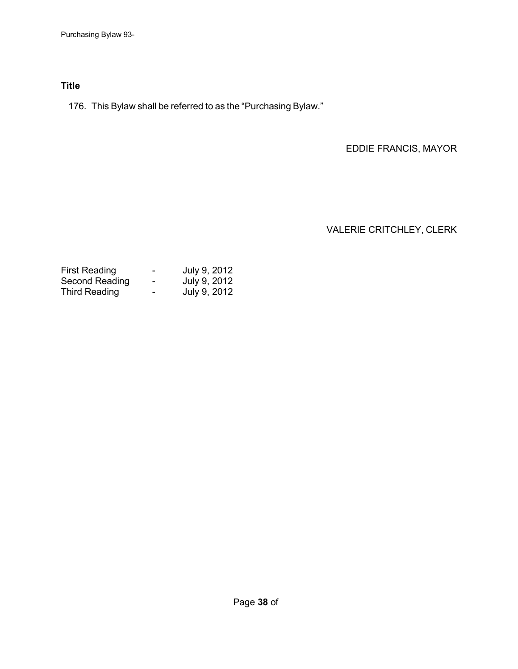### <span id="page-37-0"></span>**Title**

176. This Bylaw shall be referred to as the "Purchasing Bylaw."

EDDIE FRANCIS, MAYOR

VALERIE CRITCHLEY, CLERK

| <b>First Reading</b> | -              | July 9, 2012 |
|----------------------|----------------|--------------|
| Second Reading       | $\blacksquare$ | July 9, 2012 |
| <b>Third Reading</b> | ۰              | July 9, 2012 |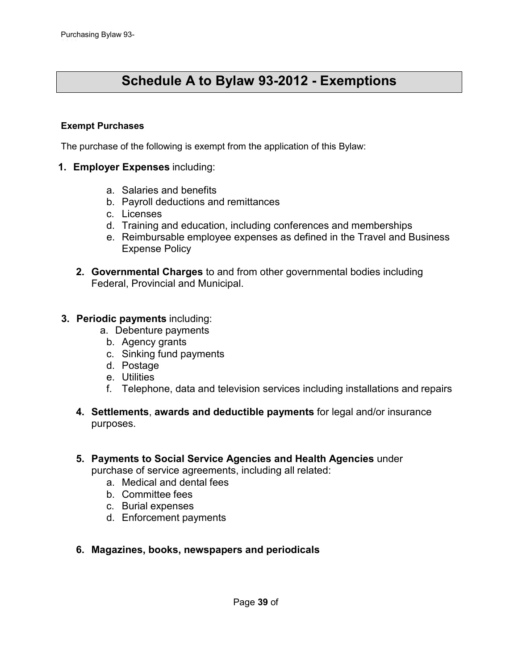# **Schedule A to Bylaw 93-2012 - Exemptions**

### **Exempt Purchases**

The purchase of the following is exempt from the application of this Bylaw:

- **1. Employer Expenses** including:
	- a. Salaries and benefits
	- b. Payroll deductions and remittances
	- c. Licenses
	- d. Training and education, including conferences and memberships
	- e. Reimbursable employee expenses as defined in the Travel and Business Expense Policy
	- **2. Governmental Charges** to and from other governmental bodies including Federal, Provincial and Municipal.
- **3. Periodic payments** including:
	- a. Debenture payments
		- b. Agency grants
		- c. Sinking fund payments
		- d. Postage
		- e. Utilities
		- f. Telephone, data and television services including installations and repairs
	- **4. Settlements**, **awards and deductible payments** for legal and/or insurance purposes.

### **5. Payments to Social Service Agencies and Health Agencies** under

purchase of service agreements, including all related:

- a. Medical and dental fees
- b. Committee fees
- c. Burial expenses
- d. Enforcement payments
- **6. Magazines, books, newspapers and periodicals**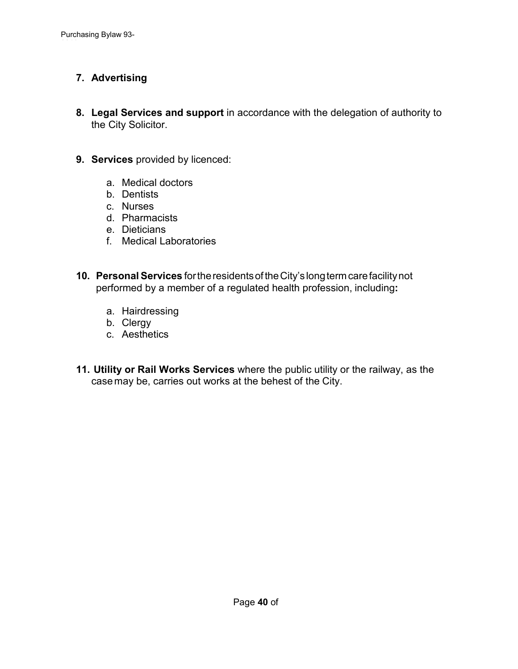### **7. Advertising**

- **8. Legal Services and support** in accordance with the delegation of authority to the City Solicitor.
- **9. Services** provided by licenced:
	- a. Medical doctors
	- b. Dentists
	- c. Nurses
	- d. Pharmacists
	- e. Dieticians
	- f. Medical Laboratories
- **10. Personal Services** fortheresidentsoftheCity's longtermcarefacilitynot performed by a member of a regulated health profession, including**:**
	- a. Hairdressing
	- b. Clergy
	- c. Aesthetics
- **11. Utility or Rail Works Services** where the public utility or the railway, as the case may be, carries out works at the behest of the City.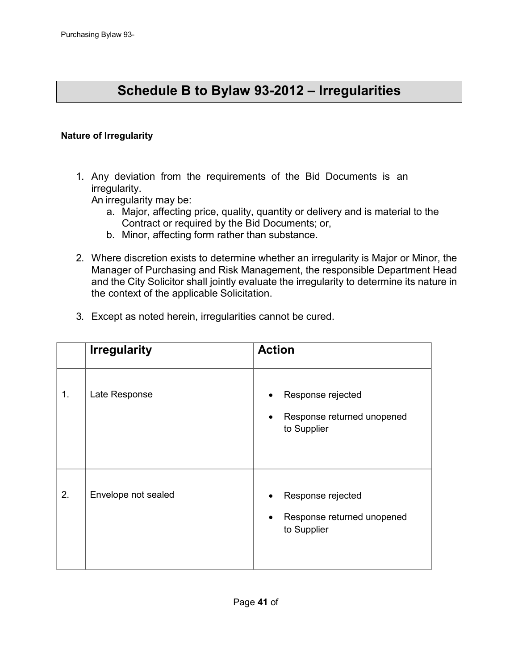# **Schedule B to Bylaw 93-2012 – Irregularities**

### **Nature of Irregularity**

1. Any deviation from the requirements of the Bid Documents is an irregularity.

An irregularity may be:

- a. Major, affecting price, quality, quantity or delivery and is material to the Contract or required by the Bid Documents; or,
- b. Minor, affecting form rather than substance.
- 2. Where discretion exists to determine whether an irregularity is Major or Minor, the Manager of Purchasing and Risk Management, the responsible Department Head and the City Solicitor shall jointly evaluate the irregularity to determine its nature in the context of the applicable Solicitation.
- 3. Except as noted herein, irregularities cannot be cured.

|    | <b>Irregularity</b> | <b>Action</b>                                                               |
|----|---------------------|-----------------------------------------------------------------------------|
| 1. | Late Response       | Response rejected<br>Response returned unopened<br>$\bullet$<br>to Supplier |
| 2. | Envelope not sealed | Response rejected<br>Response returned unopened<br>to Supplier              |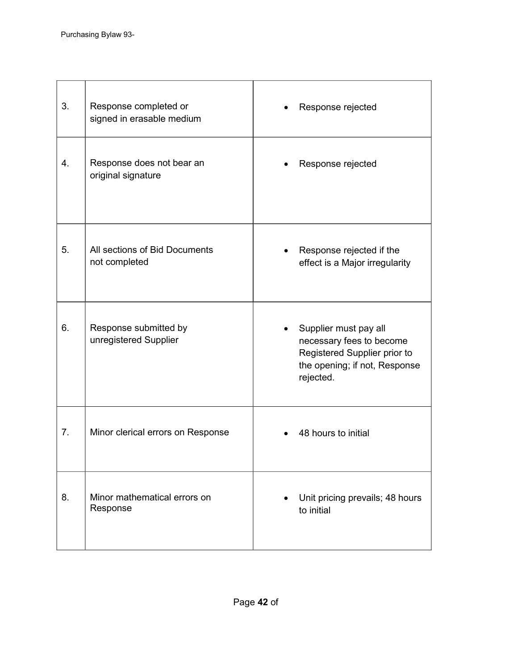| 3. | Response completed or<br>signed in erasable medium | Response rejected                                                                                                               |
|----|----------------------------------------------------|---------------------------------------------------------------------------------------------------------------------------------|
| 4. | Response does not bear an<br>original signature    | Response rejected                                                                                                               |
| 5. | All sections of Bid Documents<br>not completed     | Response rejected if the<br>effect is a Major irregularity                                                                      |
| 6. | Response submitted by<br>unregistered Supplier     | Supplier must pay all<br>necessary fees to become<br>Registered Supplier prior to<br>the opening; if not, Response<br>rejected. |
| 7. | Minor clerical errors on Response                  | 48 hours to initial                                                                                                             |
| 8. | Minor mathematical errors on<br>Response           | Unit pricing prevails; 48 hours<br>to initial                                                                                   |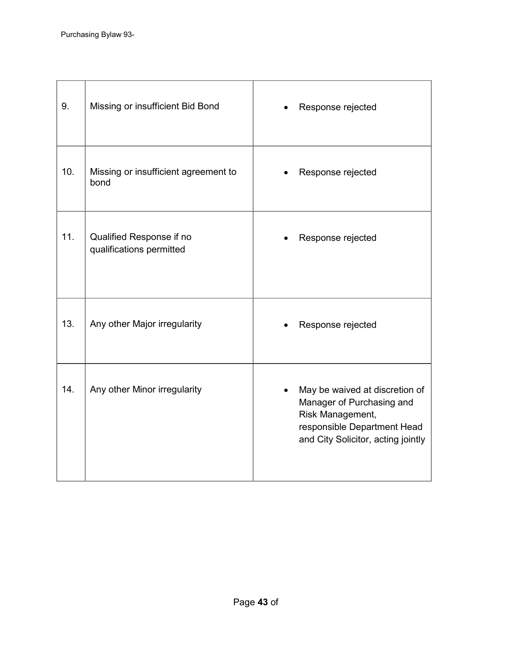| 9.  | Missing or insufficient Bid Bond                     | Response rejected                                                                                                                                    |
|-----|------------------------------------------------------|------------------------------------------------------------------------------------------------------------------------------------------------------|
| 10. | Missing or insufficient agreement to<br>bond         | Response rejected                                                                                                                                    |
| 11. | Qualified Response if no<br>qualifications permitted | Response rejected                                                                                                                                    |
| 13. | Any other Major irregularity                         | Response rejected                                                                                                                                    |
| 14. | Any other Minor irregularity                         | May be waived at discretion of<br>Manager of Purchasing and<br>Risk Management,<br>responsible Department Head<br>and City Solicitor, acting jointly |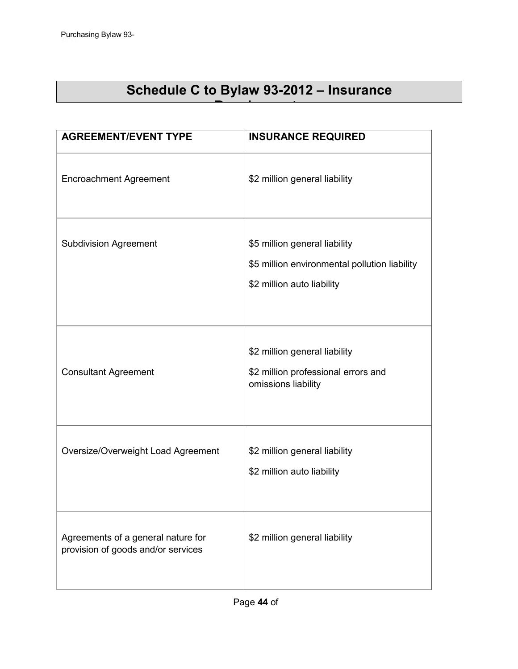# **Schedule C to Bylaw 93-2012 – Insurance**

**Requirements**

| <b>AGREEMENT/EVENT TYPE</b>                                              | <b>INSURANCE REQUIRED</b>                                                                                    |
|--------------------------------------------------------------------------|--------------------------------------------------------------------------------------------------------------|
| <b>Encroachment Agreement</b>                                            | \$2 million general liability                                                                                |
| <b>Subdivision Agreement</b>                                             | \$5 million general liability<br>\$5 million environmental pollution liability<br>\$2 million auto liability |
| <b>Consultant Agreement</b>                                              | \$2 million general liability<br>\$2 million professional errors and<br>omissions liability                  |
| Oversize/Overweight Load Agreement                                       | \$2 million general liability<br>\$2 million auto liability                                                  |
| Agreements of a general nature for<br>provision of goods and/or services | \$2 million general liability                                                                                |